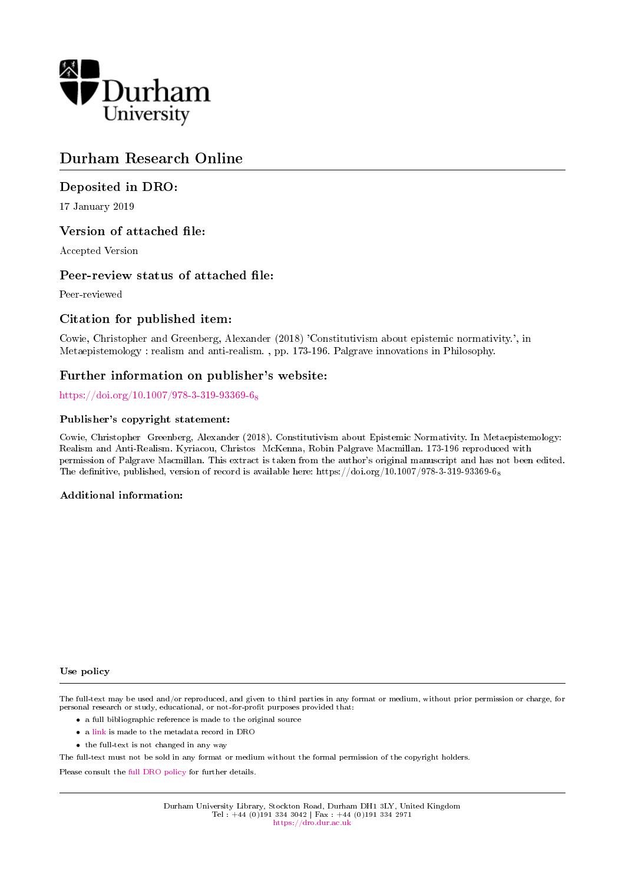

## Durham Research Online

#### Deposited in DRO:

17 January 2019

#### Version of attached file:

Accepted Version

#### Peer-review status of attached file:

Peer-reviewed

#### Citation for published item:

Cowie, Christopher and Greenberg, Alexander (2018) 'Constitutivism about epistemic normativity.', in Metaepistemology : realism and anti-realism. , pp. 173-196. Palgrave innovations in Philosophy.

#### Further information on publisher's website:

[https://doi.org/10.1007/978-3-319-93369-6](https://doi.org/10.1007/978-3-319-93369-6_8)<sup>8</sup>

#### Publisher's copyright statement:

Cowie, Christopher Greenberg, Alexander (2018). Constitutivism about Epistemic Normativity. In Metaepistemology: Realism and Anti-Realism. Kyriacou, Christos McKenna, Robin Palgrave Macmillan. 173-196 reproduced with permission of Palgrave Macmillan. This extract is taken from the author's original manuscript and has not been edited. The definitive, published, version of record is available here: https://doi.org/10.1007/978-3-319-93369-6 $_8$ 

#### Additional information:

#### Use policy

The full-text may be used and/or reproduced, and given to third parties in any format or medium, without prior permission or charge, for personal research or study, educational, or not-for-profit purposes provided that:

- a full bibliographic reference is made to the original source
- a [link](http://dro.dur.ac.uk/27209/) is made to the metadata record in DRO
- the full-text is not changed in any way

The full-text must not be sold in any format or medium without the formal permission of the copyright holders.

Please consult the [full DRO policy](https://dro.dur.ac.uk/policies/usepolicy.pdf) for further details.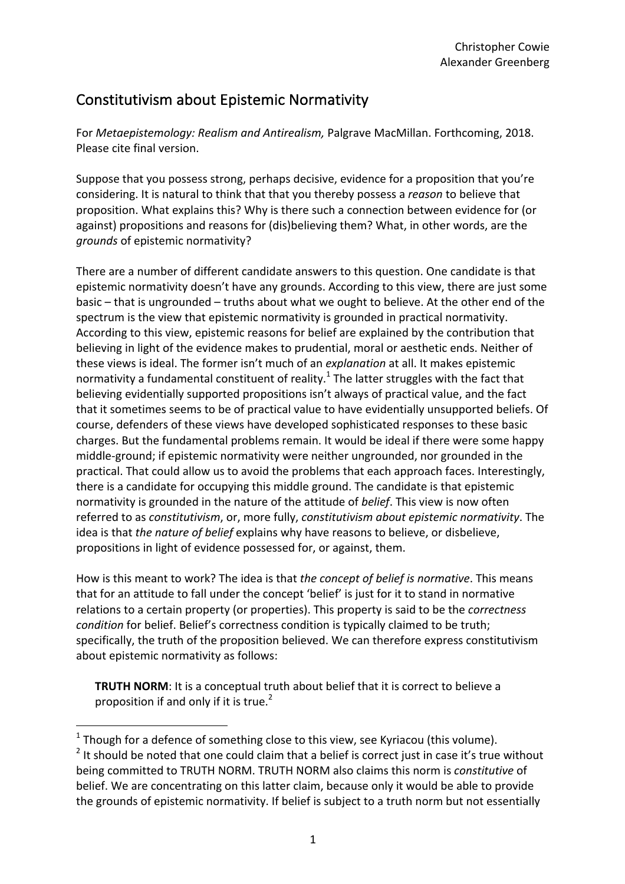# Constitutivism about Epistemic Normativity

For *Metaepistemology:* Realism and Antirealism, Palgrave MacMillan. Forthcoming, 2018. Please cite final version.

Suppose that you possess strong, perhaps decisive, evidence for a proposition that you're considering. It is natural to think that that you thereby possess a *reason* to believe that proposition. What explains this? Why is there such a connection between evidence for (or against) propositions and reasons for (dis)believing them? What, in other words, are the *grounds* of epistemic normativity?

There are a number of different candidate answers to this question. One candidate is that epistemic normativity doesn't have any grounds. According to this view, there are just some basic – that is ungrounded – truths about what we ought to believe. At the other end of the spectrum is the view that epistemic normativity is grounded in practical normativity. According to this view, epistemic reasons for belief are explained by the contribution that believing in light of the evidence makes to prudential, moral or aesthetic ends. Neither of these views is ideal. The former isn't much of an *explanation* at all. It makes epistemic normativity a fundamental constituent of reality.<sup>1</sup> The latter struggles with the fact that believing evidentially supported propositions isn't always of practical value, and the fact that it sometimes seems to be of practical value to have evidentially unsupported beliefs. Of course, defenders of these views have developed sophisticated responses to these basic charges. But the fundamental problems remain. It would be ideal if there were some happy middle-ground; if epistemic normativity were neither ungrounded, nor grounded in the practical. That could allow us to avoid the problems that each approach faces. Interestingly, there is a candidate for occupying this middle ground. The candidate is that epistemic normativity is grounded in the nature of the attitude of *belief*. This view is now often referred to as *constitutivism*, or, more fully, *constitutivism about epistemic normativity*. The idea is that *the nature of belief* explains why have reasons to believe, or disbelieve, propositions in light of evidence possessed for, or against, them.

How is this meant to work? The idea is that *the concept of belief is normative*. This means that for an attitude to fall under the concept 'belief' is just for it to stand in normative relations to a certain property (or properties). This property is said to be the *correctness condition* for belief. Belief's correctness condition is typically claimed to be truth; specifically, the truth of the proposition believed. We can therefore express constitutivism about epistemic normativity as follows:

**TRUTH NORM:** It is a conceptual truth about belief that it is correct to believe a proposition if and only if it is true. $2$ 

 $1$  Though for a defence of something close to this view, see Kyriacou (this volume).

 $2$  It should be noted that one could claim that a belief is correct just in case it's true without being committed to TRUTH NORM. TRUTH NORM also claims this norm is *constitutive* of belief. We are concentrating on this latter claim, because only it would be able to provide the grounds of epistemic normativity. If belief is subject to a truth norm but not essentially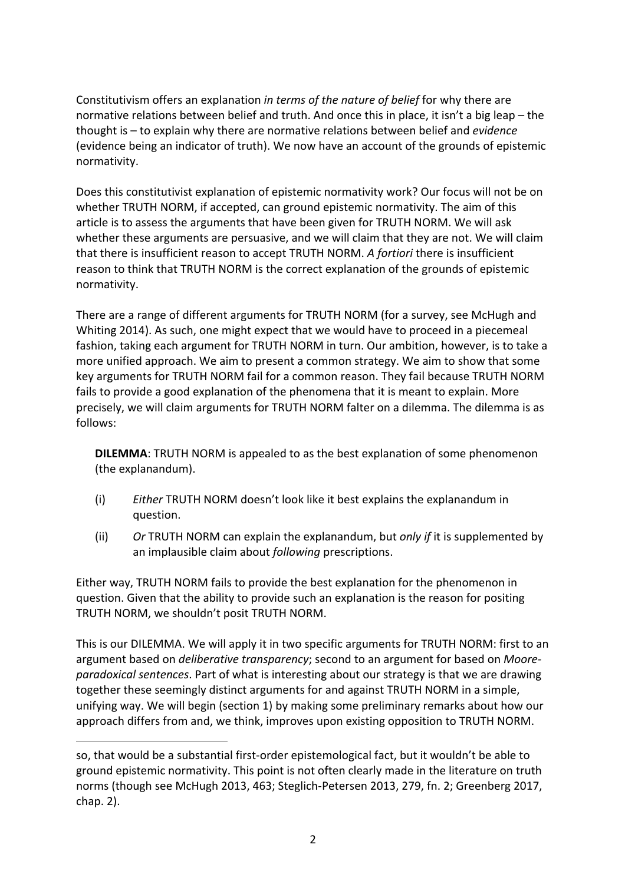Constitutivism offers an explanation *in terms of the nature of belief* for why there are normative relations between belief and truth. And once this in place, it isn't a big leap – the thought is – to explain why there are normative relations between belief and *evidence* (evidence being an indicator of truth). We now have an account of the grounds of epistemic normativity.

Does this constitutivist explanation of epistemic normativity work? Our focus will not be on whether TRUTH NORM, if accepted, can ground epistemic normativity. The aim of this article is to assess the arguments that have been given for TRUTH NORM. We will ask whether these arguments are persuasive, and we will claim that they are not. We will claim that there is insufficient reason to accept TRUTH NORM. *A fortiori* there is insufficient reason to think that TRUTH NORM is the correct explanation of the grounds of epistemic normativity.

There are a range of different arguments for TRUTH NORM (for a survey, see McHugh and Whiting 2014). As such, one might expect that we would have to proceed in a piecemeal fashion, taking each argument for TRUTH NORM in turn. Our ambition, however, is to take a more unified approach. We aim to present a common strategy. We aim to show that some key arguments for TRUTH NORM fail for a common reason. They fail because TRUTH NORM fails to provide a good explanation of the phenomena that it is meant to explain. More precisely, we will claim arguments for TRUTH NORM falter on a dilemma. The dilemma is as follows:

**DILEMMA:** TRUTH NORM is appealed to as the best explanation of some phenomenon (the explanandum).

- (i) *Either* TRUTH NORM doesn't look like it best explains the explanandum in question.
- (ii) *Or* TRUTH NORM can explain the explanandum, but *only if* it is supplemented by an implausible claim about *following* prescriptions.

Either way, TRUTH NORM fails to provide the best explanation for the phenomenon in question. Given that the ability to provide such an explanation is the reason for positing TRUTH NORM, we shouldn't posit TRUTH NORM.

This is our DILEMMA. We will apply it in two specific arguments for TRUTH NORM: first to an argument based on *deliberative transparency*; second to an argument for based on *Mooreparadoxical sentences*. Part of what is interesting about our strategy is that we are drawing together these seemingly distinct arguments for and against TRUTH NORM in a simple, unifying way. We will begin (section 1) by making some preliminary remarks about how our approach differs from and, we think, improves upon existing opposition to TRUTH NORM.

so, that would be a substantial first-order epistemological fact, but it wouldn't be able to ground epistemic normativity. This point is not often clearly made in the literature on truth norms (though see McHugh 2013, 463; Steglich-Petersen 2013, 279, fn. 2; Greenberg 2017,  $chap. 2$ ).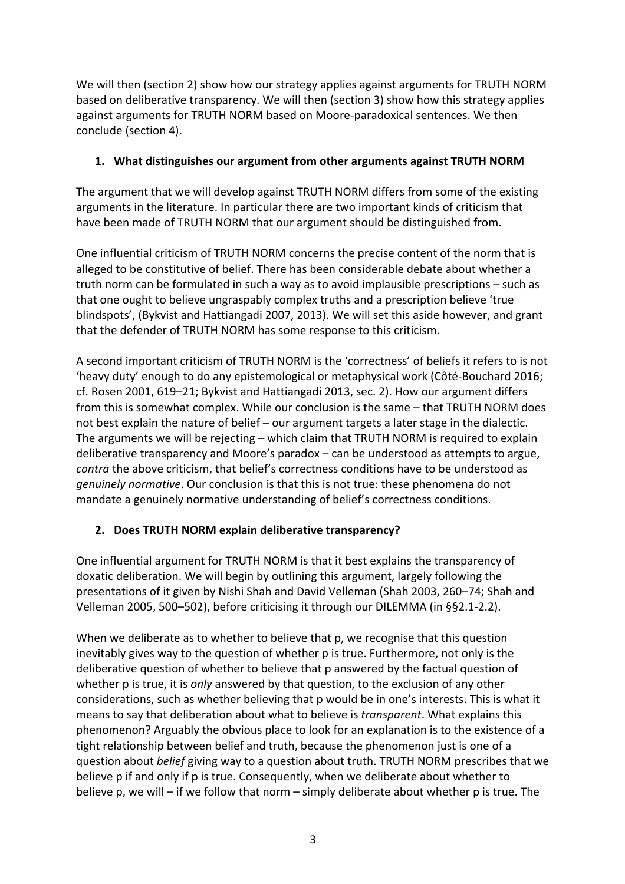We will then (section 2) show how our strategy applies against arguments for TRUTH NORM based on deliberative transparency. We will then (section 3) show how this strategy applies against arguments for TRUTH NORM based on Moore-paradoxical sentences. We then conclude (section 4).

### **1.** What distinguishes our argument from other arguments against TRUTH NORM

The argument that we will develop against TRUTH NORM differs from some of the existing arguments in the literature. In particular there are two important kinds of criticism that have been made of TRUTH NORM that our argument should be distinguished from.

One influential criticism of TRUTH NORM concerns the precise content of the norm that is alleged to be constitutive of belief. There has been considerable debate about whether a truth norm can be formulated in such a way as to avoid implausible prescriptions – such as that one ought to believe ungraspably complex truths and a prescription believe 'true blindspots', (Bykvist and Hattiangadi 2007, 2013). We will set this aside however, and grant that the defender of TRUTH NORM has some response to this criticism.

A second important criticism of TRUTH NORM is the 'correctness' of beliefs it refers to is not 'heavy duty' enough to do any epistemological or metaphysical work (Côté-Bouchard 2016; cf. Rosen 2001, 619–21; Bykvist and Hattiangadi 2013, sec. 2). How our argument differs from this is somewhat complex. While our conclusion is the same - that TRUTH NORM does not best explain the nature of belief – our argument targets a later stage in the dialectic. The arguments we will be rejecting  $-$  which claim that TRUTH NORM is required to explain deliberative transparency and Moore's paradox  $-$  can be understood as attempts to argue, *contra* the above criticism, that belief's correctness conditions have to be understood as *genuinely normative*. Our conclusion is that this is not true: these phenomena do not mandate a genuinely normative understanding of belief's correctness conditions.

## **2. Does TRUTH NORM explain deliberative transparency?**

One influential argument for TRUTH NORM is that it best explains the transparency of doxatic deliberation. We will begin by outlining this argument, largely following the presentations of it given by Nishi Shah and David Velleman (Shah 2003, 260–74; Shah and Velleman 2005, 500–502), before criticising it through our DILEMMA (in §§2.1-2.2).

When we deliberate as to whether to believe that p, we recognise that this question inevitably gives way to the question of whether p is true. Furthermore, not only is the deliberative question of whether to believe that p answered by the factual question of whether p is true, it is *only* answered by that question, to the exclusion of any other considerations, such as whether believing that p would be in one's interests. This is what it means to say that deliberation about what to believe is *transparent*. What explains this phenomenon? Arguably the obvious place to look for an explanation is to the existence of a tight relationship between belief and truth, because the phenomenon just is one of a question about *belief* giving way to a question about truth. TRUTH NORM prescribes that we believe p if and only if p is true. Consequently, when we deliberate about whether to believe p, we will – if we follow that norm – simply deliberate about whether p is true. The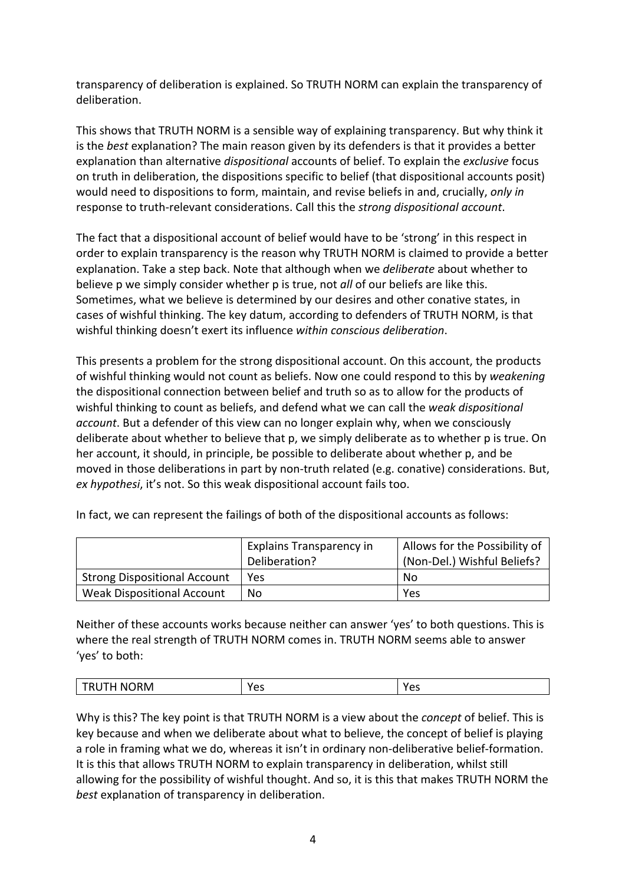transparency of deliberation is explained. So TRUTH NORM can explain the transparency of deliberation. 

This shows that TRUTH NORM is a sensible way of explaining transparency. But why think it is the *best* explanation? The main reason given by its defenders is that it provides a better explanation than alternative *dispositional* accounts of belief. To explain the *exclusive* focus on truth in deliberation, the dispositions specific to belief (that dispositional accounts posit) would need to dispositions to form, maintain, and revise beliefs in and, crucially, only in response to truth-relevant considerations. Call this the *strong dispositional account*.

The fact that a dispositional account of belief would have to be 'strong' in this respect in order to explain transparency is the reason why TRUTH NORM is claimed to provide a better explanation. Take a step back. Note that although when we *deliberate* about whether to believe p we simply consider whether p is true, not *all* of our beliefs are like this. Sometimes, what we believe is determined by our desires and other conative states, in cases of wishful thinking. The key datum, according to defenders of TRUTH NORM, is that wishful thinking doesn't exert its influence within *conscious deliberation*.

This presents a problem for the strong dispositional account. On this account, the products of wishful thinking would not count as beliefs. Now one could respond to this by *weakening* the dispositional connection between belief and truth so as to allow for the products of wishful thinking to count as beliefs, and defend what we can call the *weak dispositional account*. But a defender of this view can no longer explain why, when we consciously deliberate about whether to believe that p, we simply deliberate as to whether p is true. On her account, it should, in principle, be possible to deliberate about whether p, and be moved in those deliberations in part by non-truth related (e.g. conative) considerations. But, *ex hypothesi*, it's not. So this weak dispositional account fails too.

|                                     | <b>Explains Transparency in</b><br>Deliberation? | Allows for the Possibility of<br>(Non-Del.) Wishful Beliefs? |
|-------------------------------------|--------------------------------------------------|--------------------------------------------------------------|
| <b>Strong Dispositional Account</b> | Yes                                              | No                                                           |
| <b>Weak Dispositional Account</b>   | No                                               | Yes                                                          |

In fact, we can represent the failings of both of the dispositional accounts as follows:

Neither of these accounts works because neither can answer 'yes' to both questions. This is where the real strength of TRUTH NORM comes in. TRUTH NORM seems able to answer 'yes' to both:

| ١RM<br>Νŀ<br>$\sim$<br>$\tilde{}$<br>È<br>$\tilde{}$ |
|------------------------------------------------------|
|------------------------------------------------------|

Why is this? The key point is that TRUTH NORM is a view about the *concept* of belief. This is key because and when we deliberate about what to believe, the concept of belief is playing a role in framing what we do, whereas it isn't in ordinary non-deliberative belief-formation. It is this that allows TRUTH NORM to explain transparency in deliberation, whilst still allowing for the possibility of wishful thought. And so, it is this that makes TRUTH NORM the *best* explanation of transparency in deliberation.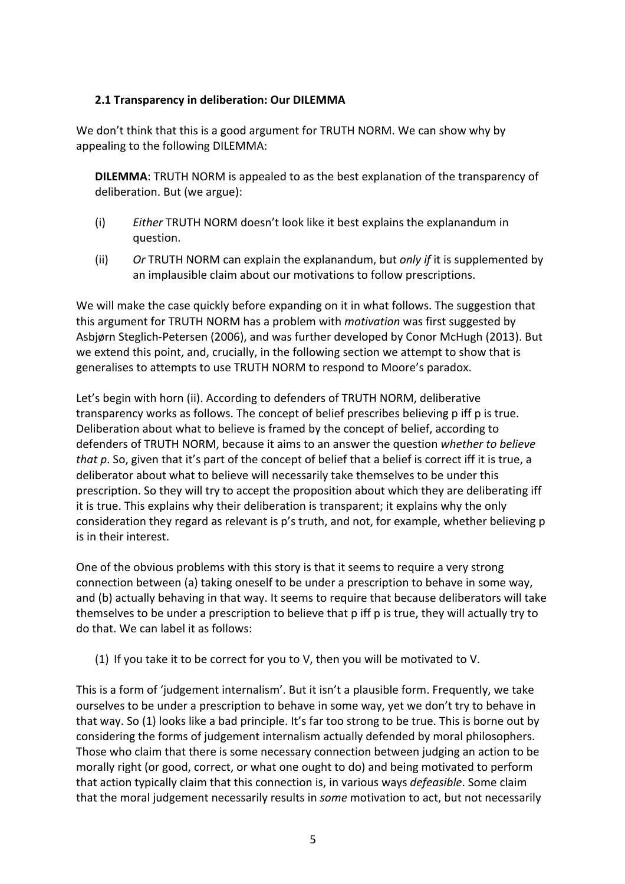#### **2.1 Transparency in deliberation: Our DILEMMA**

We don't think that this is a good argument for TRUTH NORM. We can show why by appealing to the following DILEMMA:

**DILEMMA:** TRUTH NORM is appealed to as the best explanation of the transparency of deliberation. But (we argue):

- (i) *Either* TRUTH NORM doesn't look like it best explains the explanandum in question.
- (ii) Or TRUTH NORM can explain the explanandum, but *only if* it is supplemented by an implausible claim about our motivations to follow prescriptions.

We will make the case quickly before expanding on it in what follows. The suggestion that this argument for TRUTH NORM has a problem with *motivation* was first suggested by Asbjørn Steglich-Petersen (2006), and was further developed by Conor McHugh (2013). But we extend this point, and, crucially, in the following section we attempt to show that is generalises to attempts to use TRUTH NORM to respond to Moore's paradox.

Let's begin with horn (ii). According to defenders of TRUTH NORM, deliberative transparency works as follows. The concept of belief prescribes believing p iff p is true. Deliberation about what to believe is framed by the concept of belief, according to defenders of TRUTH NORM, because it aims to an answer the question *whether to believe that* p. So, given that it's part of the concept of belief that a belief is correct iff it is true, a deliberator about what to believe will necessarily take themselves to be under this prescription. So they will try to accept the proposition about which they are deliberating iff it is true. This explains why their deliberation is transparent; it explains why the only consideration they regard as relevant is p's truth, and not, for example, whether believing p is in their interest.

One of the obvious problems with this story is that it seems to require a very strong connection between (a) taking oneself to be under a prescription to behave in some way, and (b) actually behaving in that way. It seems to require that because deliberators will take themselves to be under a prescription to believe that p iff p is true, they will actually try to do that. We can label it as follows:

(1) If you take it to be correct for you to V, then you will be motivated to V.

This is a form of 'judgement internalism'. But it isn't a plausible form. Frequently, we take ourselves to be under a prescription to behave in some way, yet we don't try to behave in that way. So (1) looks like a bad principle. It's far too strong to be true. This is borne out by considering the forms of judgement internalism actually defended by moral philosophers. Those who claim that there is some necessary connection between judging an action to be morally right (or good, correct, or what one ought to do) and being motivated to perform that action typically claim that this connection is, in various ways *defeasible*. Some claim that the moral judgement necessarily results in *some* motivation to act, but not necessarily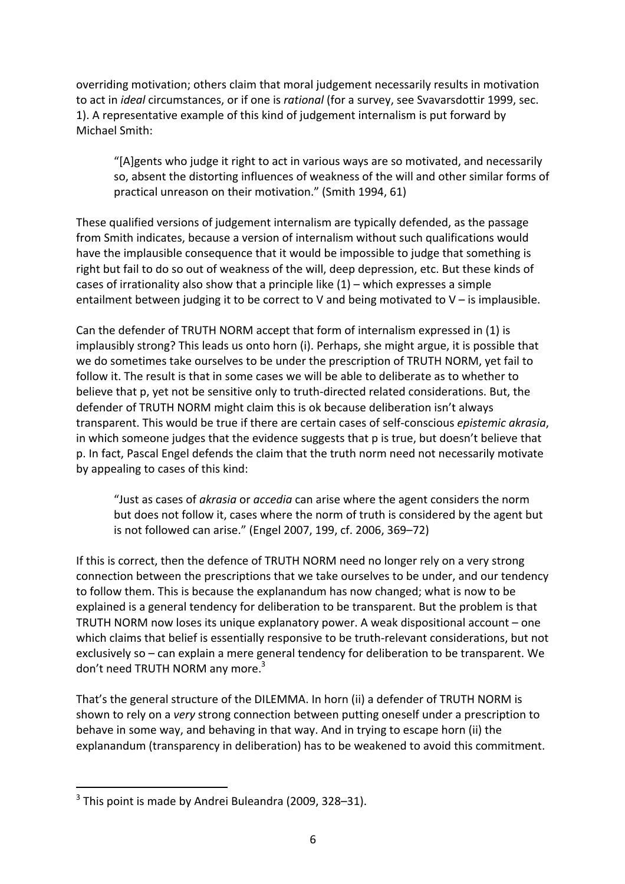overriding motivation; others claim that moral judgement necessarily results in motivation to act in *ideal* circumstances, or if one is *rational* (for a survey, see Svavarsdottir 1999, sec. 1). A representative example of this kind of judgement internalism is put forward by Michael Smith:

"[A]gents who judge it right to act in various ways are so motivated, and necessarily so, absent the distorting influences of weakness of the will and other similar forms of practical unreason on their motivation." (Smith 1994, 61)

These qualified versions of judgement internalism are typically defended, as the passage from Smith indicates, because a version of internalism without such qualifications would have the implausible consequence that it would be impossible to judge that something is right but fail to do so out of weakness of the will, deep depression, etc. But these kinds of cases of irrationality also show that a principle like  $(1)$  – which expresses a simple entailment between judging it to be correct to V and being motivated to V – is implausible.

Can the defender of TRUTH NORM accept that form of internalism expressed in (1) is implausibly strong? This leads us onto horn (i). Perhaps, she might argue, it is possible that we do sometimes take ourselves to be under the prescription of TRUTH NORM, yet fail to follow it. The result is that in some cases we will be able to deliberate as to whether to believe that p, yet not be sensitive only to truth-directed related considerations. But, the defender of TRUTH NORM might claim this is ok because deliberation isn't always transparent. This would be true if there are certain cases of self-conscious *epistemic akrasia*, in which someone judges that the evidence suggests that  $p$  is true, but doesn't believe that p. In fact, Pascal Engel defends the claim that the truth norm need not necessarily motivate by appealing to cases of this kind:

"Just as cases of *akrasia* or *accedia* can arise where the agent considers the norm but does not follow it, cases where the norm of truth is considered by the agent but is not followed can arise." (Engel 2007, 199, cf. 2006, 369-72)

If this is correct, then the defence of TRUTH NORM need no longer rely on a very strong connection between the prescriptions that we take ourselves to be under, and our tendency to follow them. This is because the explanandum has now changed; what is now to be explained is a general tendency for deliberation to be transparent. But the problem is that TRUTH NORM now loses its unique explanatory power. A weak dispositional account  $-$  one which claims that belief is essentially responsive to be truth-relevant considerations, but not exclusively so – can explain a mere general tendency for deliberation to be transparent. We don't need TRUTH NORM any more.<sup>3</sup>

That's the general structure of the DILEMMA. In horn (ii) a defender of TRUTH NORM is shown to rely on a *very* strong connection between putting oneself under a prescription to behave in some way, and behaving in that way. And in trying to escape horn (ii) the explanandum (transparency in deliberation) has to be weakened to avoid this commitment.

 $3$  This point is made by Andrei Buleandra (2009, 328–31).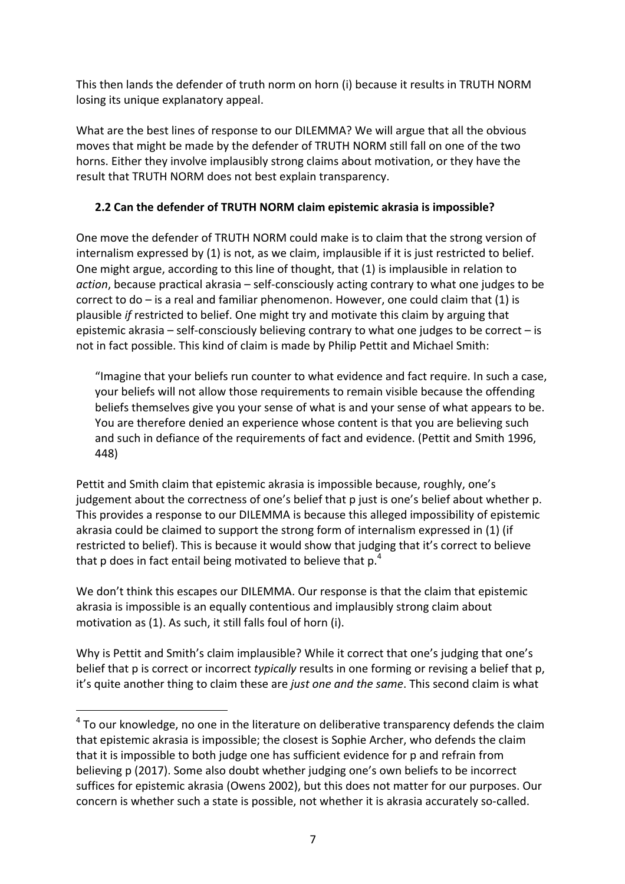This then lands the defender of truth norm on horn (i) because it results in TRUTH NORM losing its unique explanatory appeal.

What are the best lines of response to our DILEMMA? We will argue that all the obvious moves that might be made by the defender of TRUTH NORM still fall on one of the two horns. Either they involve implausibly strong claims about motivation, or they have the result that TRUTH NORM does not best explain transparency.

### **2.2 Can the defender of TRUTH NORM claim epistemic akrasia is impossible?**

One move the defender of TRUTH NORM could make is to claim that the strong version of internalism expressed by  $(1)$  is not, as we claim, implausible if it is just restricted to belief. One might argue, according to this line of thought, that (1) is implausible in relation to action, because practical akrasia – self-consciously acting contrary to what one judges to be correct to  $do - is a real and familiar phenomenon. However, one could claim that (1) is$ plausible *if* restricted to belief. One might try and motivate this claim by arguing that epistemic akrasia – self-consciously believing contrary to what one judges to be correct – is not in fact possible. This kind of claim is made by Philip Pettit and Michael Smith:

"Imagine that your beliefs run counter to what evidence and fact require. In such a case, your beliefs will not allow those requirements to remain visible because the offending beliefs themselves give you your sense of what is and your sense of what appears to be. You are therefore denied an experience whose content is that you are believing such and such in defiance of the requirements of fact and evidence. (Pettit and Smith 1996, 448)

Pettit and Smith claim that epistemic akrasia is impossible because, roughly, one's judgement about the correctness of one's belief that p just is one's belief about whether p. This provides a response to our DILEMMA is because this alleged impossibility of epistemic akrasia could be claimed to support the strong form of internalism expressed in (1) (if restricted to belief). This is because it would show that judging that it's correct to believe that p does in fact entail being motivated to believe that  $p^4$ .

We don't think this escapes our DILEMMA. Our response is that the claim that epistemic akrasia is impossible is an equally contentious and implausibly strong claim about motivation as  $(1)$ . As such, it still falls foul of horn  $(i)$ .

Why is Pettit and Smith's claim implausible? While it correct that one's judging that one's belief that p is correct or incorrect *typically* results in one forming or revising a belief that p, it's quite another thing to claim these are *just one and the same*. This second claim is what

 $4$  To our knowledge, no one in the literature on deliberative transparency defends the claim that epistemic akrasia is impossible; the closest is Sophie Archer, who defends the claim that it is impossible to both judge one has sufficient evidence for p and refrain from believing p (2017). Some also doubt whether judging one's own beliefs to be incorrect suffices for epistemic akrasia (Owens 2002), but this does not matter for our purposes. Our concern is whether such a state is possible, not whether it is akrasia accurately so-called.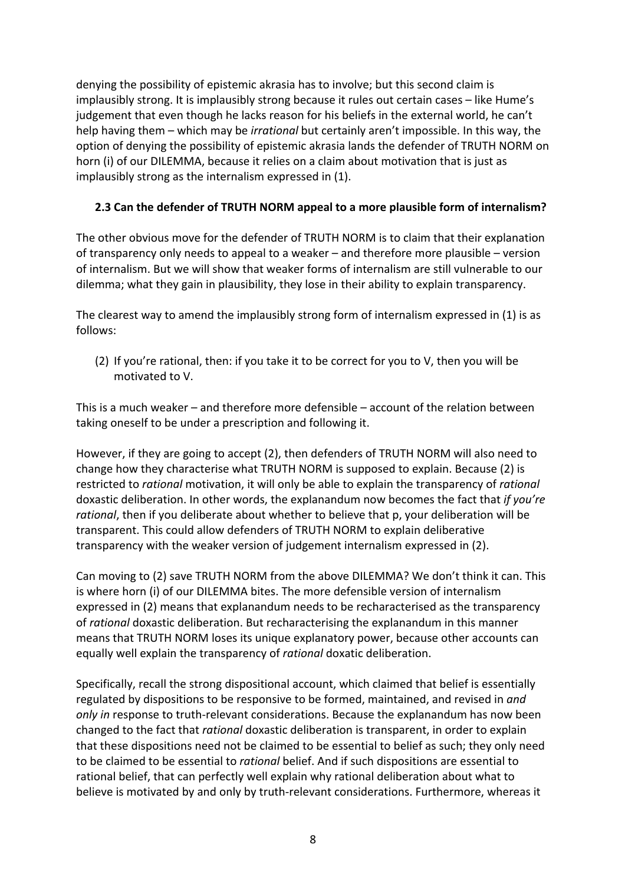denying the possibility of epistemic akrasia has to involve; but this second claim is implausibly strong. It is implausibly strong because it rules out certain cases – like Hume's judgement that even though he lacks reason for his beliefs in the external world, he can't help having them – which may be *irrational* but certainly aren't impossible. In this way, the option of denying the possibility of epistemic akrasia lands the defender of TRUTH NORM on horn (i) of our DILEMMA, because it relies on a claim about motivation that is just as implausibly strong as the internalism expressed in (1).

## **2.3** Can the defender of TRUTH NORM appeal to a more plausible form of internalism?

The other obvious move for the defender of TRUTH NORM is to claim that their explanation of transparency only needs to appeal to a weaker – and therefore more plausible – version of internalism. But we will show that weaker forms of internalism are still vulnerable to our dilemma; what they gain in plausibility, they lose in their ability to explain transparency.

The clearest way to amend the implausibly strong form of internalism expressed in  $(1)$  is as follows:

(2) If you're rational, then: if you take it to be correct for you to V, then you will be motivated to V.

This is a much weaker  $-$  and therefore more defensible  $-$  account of the relation between taking oneself to be under a prescription and following it.

However, if they are going to accept (2), then defenders of TRUTH NORM will also need to change how they characterise what TRUTH NORM is supposed to explain. Because (2) is restricted to *rational* motivation, it will only be able to explain the transparency of *rational* doxastic deliberation. In other words, the explanandum now becomes the fact that *if you're* rational, then if you deliberate about whether to believe that p, your deliberation will be transparent. This could allow defenders of TRUTH NORM to explain deliberative transparency with the weaker version of judgement internalism expressed in (2).

Can moving to (2) save TRUTH NORM from the above DILEMMA? We don't think it can. This is where horn (i) of our DILEMMA bites. The more defensible version of internalism expressed in (2) means that explanandum needs to be recharacterised as the transparency of *rational* doxastic deliberation. But recharacterising the explanandum in this manner means that TRUTH NORM loses its unique explanatory power, because other accounts can equally well explain the transparency of *rational* doxatic deliberation.

Specifically, recall the strong dispositional account, which claimed that belief is essentially regulated by dispositions to be responsive to be formed, maintained, and revised in and *only* in response to truth-relevant considerations. Because the explanandum has now been changed to the fact that *rational* doxastic deliberation is transparent, in order to explain that these dispositions need not be claimed to be essential to belief as such; they only need to be claimed to be essential to *rational* belief. And if such dispositions are essential to rational belief, that can perfectly well explain why rational deliberation about what to believe is motivated by and only by truth-relevant considerations. Furthermore, whereas it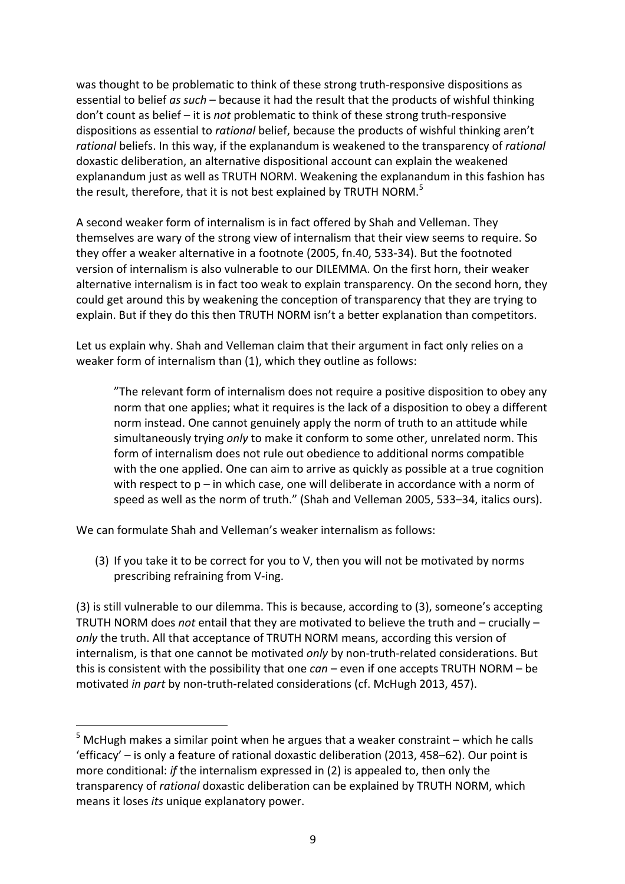was thought to be problematic to think of these strong truth-responsive dispositions as essential to belief *as such* – because it had the result that the products of wishful thinking don't count as belief – it is *not* problematic to think of these strong truth-responsive dispositions as essential to *rational* belief, because the products of wishful thinking aren't *rational* beliefs. In this way, if the explanandum is weakened to the transparency of *rational* doxastic deliberation, an alternative dispositional account can explain the weakened explanandum just as well as TRUTH NORM. Weakening the explanandum in this fashion has the result, therefore, that it is not best explained by TRUTH NORM.<sup>5</sup>

A second weaker form of internalism is in fact offered by Shah and Velleman. They themselves are wary of the strong view of internalism that their view seems to require. So they offer a weaker alternative in a footnote (2005, fn.40, 533-34). But the footnoted version of internalism is also vulnerable to our DILEMMA. On the first horn, their weaker alternative internalism is in fact too weak to explain transparency. On the second horn, they could get around this by weakening the conception of transparency that they are trying to explain. But if they do this then TRUTH NORM isn't a better explanation than competitors.

Let us explain why. Shah and Velleman claim that their argument in fact only relies on a weaker form of internalism than  $(1)$ , which they outline as follows:

"The relevant form of internalism does not require a positive disposition to obey any norm that one applies; what it requires is the lack of a disposition to obey a different norm instead. One cannot genuinely apply the norm of truth to an attitude while simultaneously trying *only* to make it conform to some other, unrelated norm. This form of internalism does not rule out obedience to additional norms compatible with the one applied. One can aim to arrive as quickly as possible at a true cognition with respect to  $p - in$  which case, one will deliberate in accordance with a norm of speed as well as the norm of truth." (Shah and Velleman 2005, 533–34, italics ours).

We can formulate Shah and Velleman's weaker internalism as follows:

 

(3) If you take it to be correct for you to V, then you will not be motivated by norms prescribing refraining from V-ing.

 $(3)$  is still vulnerable to our dilemma. This is because, according to  $(3)$ , someone's accepting TRUTH NORM does *not* entail that they are motivated to believe the truth and – crucially – *only* the truth. All that acceptance of TRUTH NORM means, according this version of internalism, is that one cannot be motivated *only* by non-truth-related considerations. But this is consistent with the possibility that one  $can$  – even if one accepts TRUTH NORM – be motivated *in part* by non-truth-related considerations (cf. McHugh 2013, 457).

 $<sup>5</sup>$  McHugh makes a similar point when he argues that a weaker constraint – which he calls</sup> 'efficacy'  $-$  is only a feature of rational doxastic deliberation (2013, 458–62). Our point is more conditional: *if* the internalism expressed in (2) is appealed to, then only the transparency of *rational* doxastic deliberation can be explained by TRUTH NORM, which means it loses *its* unique explanatory power.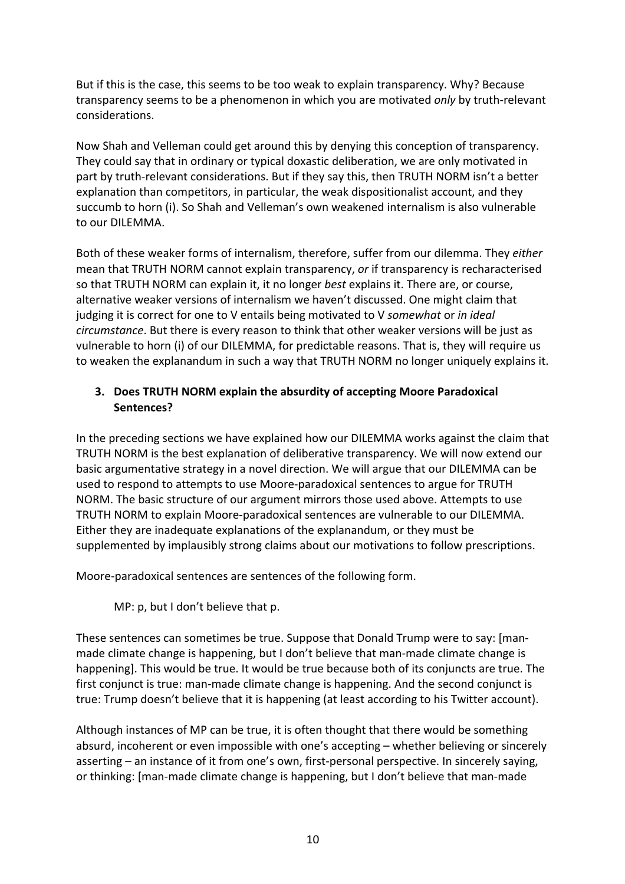But if this is the case, this seems to be too weak to explain transparency. Why? Because transparency seems to be a phenomenon in which you are motivated *only* by truth-relevant considerations.

Now Shah and Velleman could get around this by denying this conception of transparency. They could say that in ordinary or typical doxastic deliberation, we are only motivated in part by truth-relevant considerations. But if they say this, then TRUTH NORM isn't a better explanation than competitors, in particular, the weak dispositionalist account, and they succumb to horn (i). So Shah and Velleman's own weakened internalism is also vulnerable to our DILEMMA.

Both of these weaker forms of internalism, therefore, suffer from our dilemma. They *either* mean that TRUTH NORM cannot explain transparency, or if transparency is recharacterised so that TRUTH NORM can explain it, it no longer *best* explains it. There are, or course, alternative weaker versions of internalism we haven't discussed. One might claim that judging it is correct for one to V entails being motivated to V *somewhat* or *in ideal circumstance*. But there is every reason to think that other weaker versions will be just as vulnerable to horn (i) of our DILEMMA, for predictable reasons. That is, they will require us to weaken the explanandum in such a way that TRUTH NORM no longer uniquely explains it.

## **3. Does TRUTH NORM explain the absurdity of accepting Moore Paradoxical Sentences?**

In the preceding sections we have explained how our DILEMMA works against the claim that TRUTH NORM is the best explanation of deliberative transparency. We will now extend our basic argumentative strategy in a novel direction. We will argue that our DILEMMA can be used to respond to attempts to use Moore-paradoxical sentences to argue for TRUTH NORM. The basic structure of our argument mirrors those used above. Attempts to use TRUTH NORM to explain Moore-paradoxical sentences are vulnerable to our DILEMMA. Either they are inadequate explanations of the explanandum, or they must be supplemented by implausibly strong claims about our motivations to follow prescriptions.

Moore-paradoxical sentences are sentences of the following form.

MP: p. but I don't believe that p.

These sentences can sometimes be true. Suppose that Donald Trump were to say: [manmade climate change is happening, but I don't believe that man-made climate change is happening]. This would be true. It would be true because both of its conjuncts are true. The first conjunct is true: man-made climate change is happening. And the second conjunct is true: Trump doesn't believe that it is happening (at least according to his Twitter account).

Although instances of MP can be true, it is often thought that there would be something absurd, incoherent or even impossible with one's accepting  $-$  whether believing or sincerely asserting – an instance of it from one's own, first-personal perspective. In sincerely saying, or thinking: [man-made climate change is happening, but I don't believe that man-made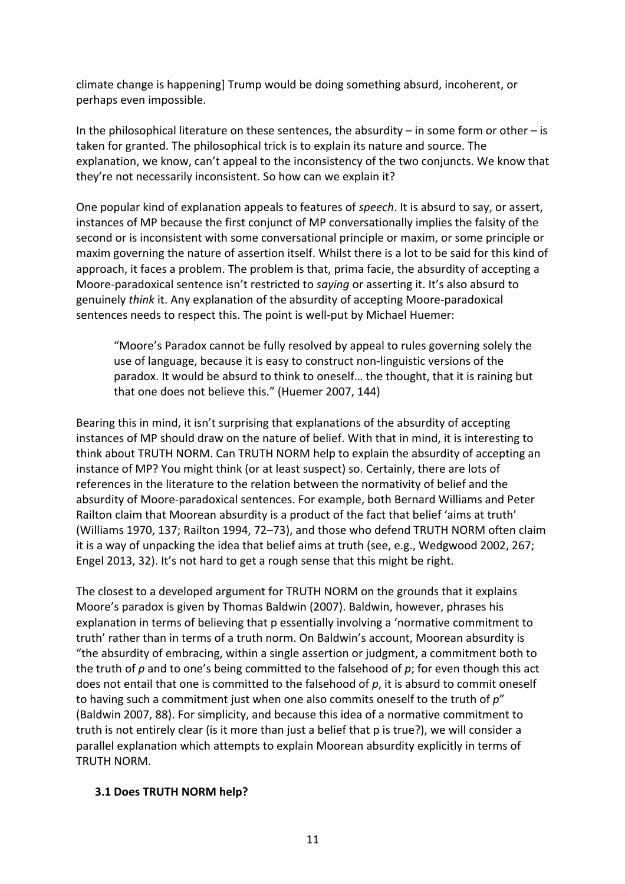climate change is happening] Trump would be doing something absurd, incoherent, or perhaps even impossible.

In the philosophical literature on these sentences, the absurdity – in some form or other – is taken for granted. The philosophical trick is to explain its nature and source. The explanation, we know, can't appeal to the inconsistency of the two conjuncts. We know that they're not necessarily inconsistent. So how can we explain it?

One popular kind of explanation appeals to features of *speech*. It is absurd to say, or assert, instances of MP because the first conjunct of MP conversationally implies the falsity of the second or is inconsistent with some conversational principle or maxim, or some principle or maxim governing the nature of assertion itself. Whilst there is a lot to be said for this kind of approach, it faces a problem. The problem is that, prima facie, the absurdity of accepting a Moore-paradoxical sentence isn't restricted to *saying* or asserting it. It's also absurd to genuinely *think* it. Any explanation of the absurdity of accepting Moore-paradoxical sentences needs to respect this. The point is well-put by Michael Huemer:

"Moore's Paradox cannot be fully resolved by appeal to rules governing solely the use of language, because it is easy to construct non-linguistic versions of the paradox. It would be absurd to think to oneself... the thought, that it is raining but that one does not believe this." (Huemer 2007, 144)

Bearing this in mind, it isn't surprising that explanations of the absurdity of accepting instances of MP should draw on the nature of belief. With that in mind, it is interesting to think about TRUTH NORM. Can TRUTH NORM help to explain the absurdity of accepting an instance of MP? You might think (or at least suspect) so. Certainly, there are lots of references in the literature to the relation between the normativity of belief and the absurdity of Moore-paradoxical sentences. For example, both Bernard Williams and Peter Railton claim that Moorean absurdity is a product of the fact that belief 'aims at truth' (Williams 1970, 137; Railton 1994, 72-73), and those who defend TRUTH NORM often claim it is a way of unpacking the idea that belief aims at truth (see, e.g., Wedgwood 2002, 267; Engel 2013, 32). It's not hard to get a rough sense that this might be right.

The closest to a developed argument for TRUTH NORM on the grounds that it explains Moore's paradox is given by Thomas Baldwin (2007). Baldwin, however, phrases his explanation in terms of believing that p essentially involving a 'normative commitment to truth' rather than in terms of a truth norm. On Baldwin's account, Moorean absurdity is "the absurdity of embracing, within a single assertion or judgment, a commitment both to the truth of p and to one's being committed to the falsehood of p; for even though this act does not entail that one is committed to the falsehood of p, it is absurd to commit oneself to having such a commitment just when one also commits oneself to the truth of p" (Baldwin 2007, 88). For simplicity, and because this idea of a normative commitment to truth is not entirely clear (is it more than just a belief that p is true?), we will consider a parallel explanation which attempts to explain Moorean absurdity explicitly in terms of TRUTH NORM.

#### **3.1 Does TRUTH NORM help?**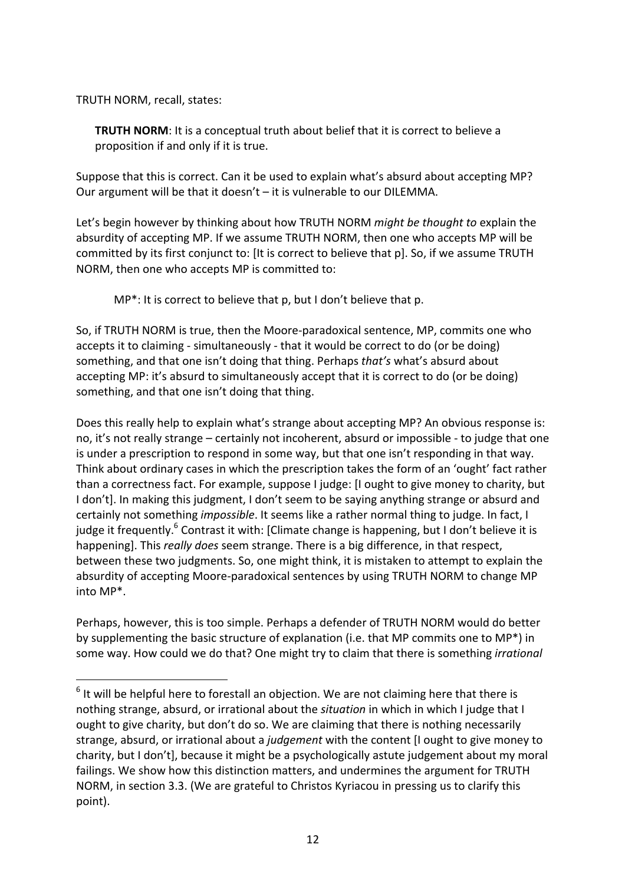TRUTH NORM, recall, states:

 

**TRUTH NORM:** It is a conceptual truth about belief that it is correct to believe a proposition if and only if it is true.

Suppose that this is correct. Can it be used to explain what's absurd about accepting MP? Our argument will be that it doesn't  $-$  it is vulnerable to our DILEMMA.

Let's begin however by thinking about how TRUTH NORM *might be thought to* explain the absurdity of accepting MP. If we assume TRUTH NORM, then one who accepts MP will be committed by its first conjunct to: [It is correct to believe that p]. So, if we assume TRUTH NORM, then one who accepts MP is committed to:

 $MP^*$ : It is correct to believe that p, but I don't believe that p.

So, if TRUTH NORM is true, then the Moore-paradoxical sentence, MP, commits one who accepts it to claiming - simultaneously - that it would be correct to do (or be doing) something, and that one isn't doing that thing. Perhaps *that's* what's absurd about accepting MP: it's absurd to simultaneously accept that it is correct to do (or be doing) something, and that one isn't doing that thing.

Does this really help to explain what's strange about accepting MP? An obvious response is: no, it's not really strange – certainly not incoherent, absurd or impossible - to judge that one is under a prescription to respond in some way, but that one isn't responding in that way. Think about ordinary cases in which the prescription takes the form of an 'ought' fact rather than a correctness fact. For example, suppose I judge: [I ought to give money to charity, but I don't]. In making this judgment, I don't seem to be saying anything strange or absurd and certainly not something *impossible*. It seems like a rather normal thing to judge. In fact, I judge it frequently.<sup>6</sup> Contrast it with: [Climate change is happening, but I don't believe it is happening]. This *really does* seem strange. There is a big difference, in that respect, between these two judgments. So, one might think, it is mistaken to attempt to explain the absurdity of accepting Moore-paradoxical sentences by using TRUTH NORM to change MP into MP\*.

Perhaps, however, this is too simple. Perhaps a defender of TRUTH NORM would do better by supplementing the basic structure of explanation (i.e. that MP commits one to MP\*) in some way. How could we do that? One might try to claim that there is something *irrational* 

 $6$  It will be helpful here to forestall an objection. We are not claiming here that there is nothing strange, absurd, or irrational about the *situation* in which in which I judge that I ought to give charity, but don't do so. We are claiming that there is nothing necessarily strange, absurd, or irrational about a *judgement* with the content [I ought to give money to charity, but I don't], because it might be a psychologically astute judgement about my moral failings. We show how this distinction matters, and undermines the argument for TRUTH NORM, in section 3.3. (We are grateful to Christos Kyriacou in pressing us to clarify this point).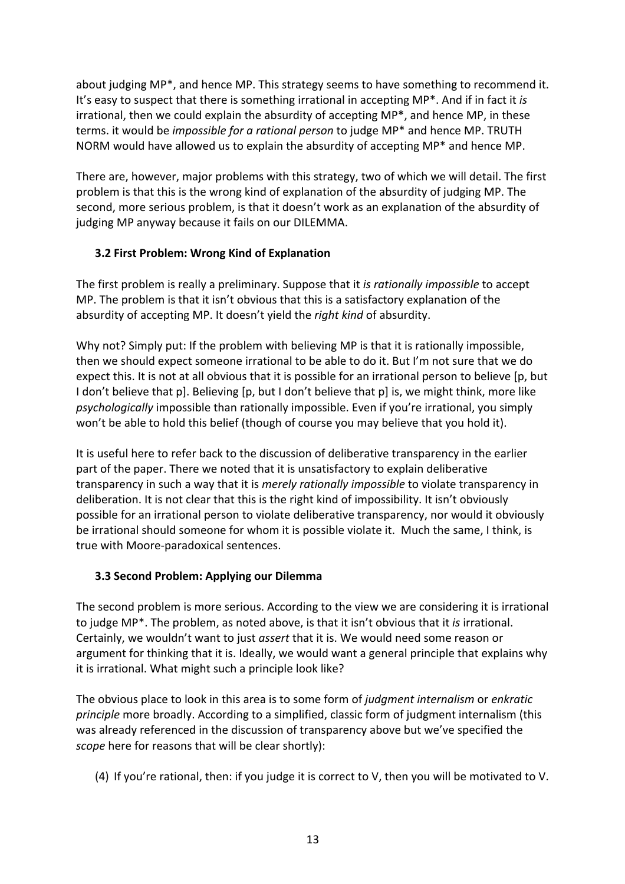about judging  $MP^*$ , and hence MP. This strategy seems to have something to recommend it. It's easy to suspect that there is something irrational in accepting MP<sup>\*</sup>. And if in fact it is irrational, then we could explain the absurdity of accepting MP $^*$ , and hence MP, in these terms. it would be *impossible for a rational person* to judge MP<sup>\*</sup> and hence MP. TRUTH NORM would have allowed us to explain the absurdity of accepting  $MP^*$  and hence MP.

There are, however, major problems with this strategy, two of which we will detail. The first problem is that this is the wrong kind of explanation of the absurdity of judging MP. The second, more serious problem, is that it doesn't work as an explanation of the absurdity of judging MP anyway because it fails on our DILEMMA.

## **3.2 First Problem: Wrong Kind of Explanation**

The first problem is really a preliminary. Suppose that it *is rationally impossible* to accept MP. The problem is that it isn't obvious that this is a satisfactory explanation of the absurdity of accepting MP. It doesn't yield the *right kind* of absurdity.

Why not? Simply put: If the problem with believing MP is that it is rationally impossible, then we should expect someone irrational to be able to do it. But I'm not sure that we do expect this. It is not at all obvious that it is possible for an irrational person to believe [p, but I don't believe that p]. Believing  $[p, but I don't believe that p]$  is, we might think, more like psychologically impossible than rationally impossible. Even if you're irrational, you simply won't be able to hold this belief (though of course you may believe that you hold it).

It is useful here to refer back to the discussion of deliberative transparency in the earlier part of the paper. There we noted that it is unsatisfactory to explain deliberative transparency in such a way that it is *merely rationally impossible* to violate transparency in deliberation. It is not clear that this is the right kind of impossibility. It isn't obviously possible for an irrational person to violate deliberative transparency, nor would it obviously be irrational should someone for whom it is possible violate it. Much the same, I think, is true with Moore-paradoxical sentences.

## **3.3 Second Problem: Applying our Dilemma**

The second problem is more serious. According to the view we are considering it is irrational to judge MP<sup>\*</sup>. The problem, as noted above, is that it isn't obvious that it *is* irrational. Certainly, we wouldn't want to just *assert* that it is. We would need some reason or argument for thinking that it is. Ideally, we would want a general principle that explains why it is irrational. What might such a principle look like?

The obvious place to look in this area is to some form of *judgment internalism* or *enkratic principle* more broadly. According to a simplified, classic form of judgment internalism (this was already referenced in the discussion of transparency above but we've specified the *scope* here for reasons that will be clear shortly):

(4) If you're rational, then: if you judge it is correct to V, then you will be motivated to V.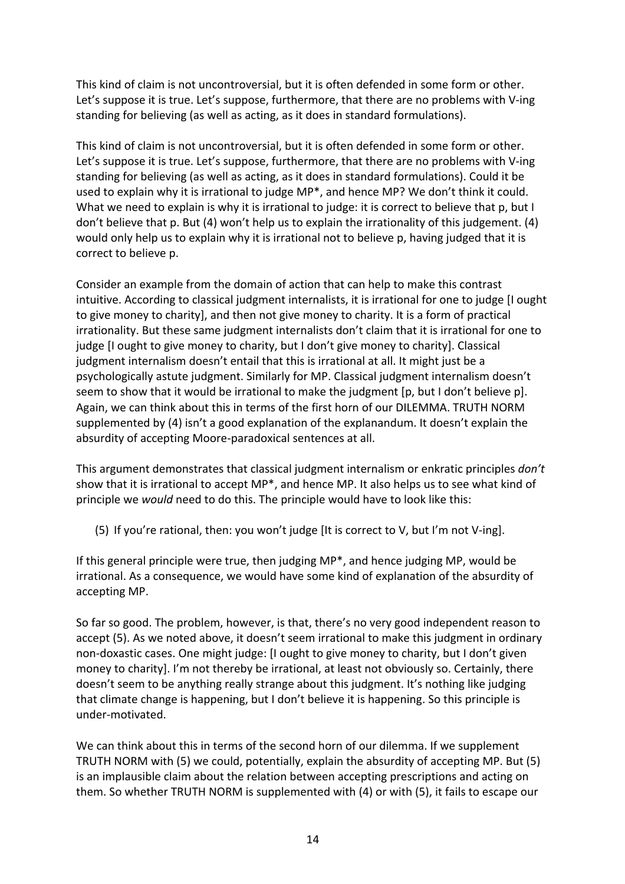This kind of claim is not uncontroversial, but it is often defended in some form or other. Let's suppose it is true. Let's suppose, furthermore, that there are no problems with V-ing standing for believing (as well as acting, as it does in standard formulations).

This kind of claim is not uncontroversial, but it is often defended in some form or other. Let's suppose it is true. Let's suppose, furthermore, that there are no problems with V-ing standing for believing (as well as acting, as it does in standard formulations). Could it be used to explain why it is irrational to judge MP\*, and hence MP? We don't think it could. What we need to explain is why it is irrational to judge: it is correct to believe that p, but I don't believe that p. But (4) won't help us to explain the irrationality of this judgement. (4) would only help us to explain why it is irrational not to believe p, having judged that it is correct to believe p.

Consider an example from the domain of action that can help to make this contrast intuitive. According to classical judgment internalists, it is irrational for one to judge [I ought to give money to charity], and then not give money to charity. It is a form of practical irrationality. But these same judgment internalists don't claim that it is irrational for one to judge [I ought to give money to charity, but I don't give money to charity]. Classical judgment internalism doesn't entail that this is irrational at all. It might just be a psychologically astute judgment. Similarly for MP. Classical judgment internalism doesn't seem to show that it would be irrational to make the judgment  $[p, \text{ but } I \text{ don't believe } p]$ . Again, we can think about this in terms of the first horn of our DILEMMA. TRUTH NORM supplemented by  $(4)$  isn't a good explanation of the explanandum. It doesn't explain the absurdity of accepting Moore-paradoxical sentences at all.

This argument demonstrates that classical judgment internalism or enkratic principles *don't* show that it is irrational to accept MP\*, and hence MP. It also helps us to see what kind of principle we *would* need to do this. The principle would have to look like this:

(5) If you're rational, then: you won't judge  $[It is correct to V, but I'm not V-ing].$ 

If this general principle were true, then judging  $MP^*$ , and hence judging MP, would be irrational. As a consequence, we would have some kind of explanation of the absurdity of accepting MP.

So far so good. The problem, however, is that, there's no very good independent reason to accept (5). As we noted above, it doesn't seem irrational to make this judgment in ordinary non-doxastic cases. One might judge: [I ought to give money to charity, but I don't given money to charity]. I'm not thereby be irrational, at least not obviously so. Certainly, there doesn't seem to be anything really strange about this judgment. It's nothing like judging that climate change is happening, but I don't believe it is happening. So this principle is under-motivated. 

We can think about this in terms of the second horn of our dilemma. If we supplement TRUTH NORM with (5) we could, potentially, explain the absurdity of accepting MP. But (5) is an implausible claim about the relation between accepting prescriptions and acting on them. So whether TRUTH NORM is supplemented with (4) or with (5), it fails to escape our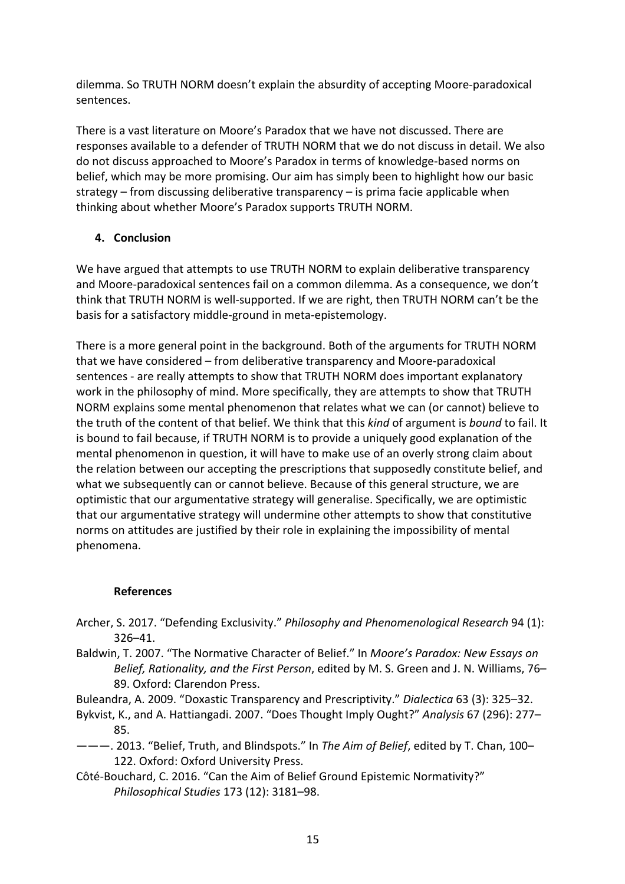dilemma. So TRUTH NORM doesn't explain the absurdity of accepting Moore-paradoxical sentences.

There is a vast literature on Moore's Paradox that we have not discussed. There are responses available to a defender of TRUTH NORM that we do not discuss in detail. We also do not discuss approached to Moore's Paradox in terms of knowledge-based norms on belief, which may be more promising. Our aim has simply been to highlight how our basic strategy – from discussing deliberative transparency – is prima facie applicable when thinking about whether Moore's Paradox supports TRUTH NORM.

### **4. Conclusion**

We have argued that attempts to use TRUTH NORM to explain deliberative transparency and Moore-paradoxical sentences fail on a common dilemma. As a consequence, we don't think that TRUTH NORM is well-supported. If we are right, then TRUTH NORM can't be the basis for a satisfactory middle-ground in meta-epistemology.

There is a more general point in the background. Both of the arguments for TRUTH NORM that we have considered – from deliberative transparency and Moore-paradoxical sentences - are really attempts to show that TRUTH NORM does important explanatory work in the philosophy of mind. More specifically, they are attempts to show that TRUTH NORM explains some mental phenomenon that relates what we can (or cannot) believe to the truth of the content of that belief. We think that this *kind* of argument is *bound* to fail. It is bound to fail because, if TRUTH NORM is to provide a uniquely good explanation of the mental phenomenon in question, it will have to make use of an overly strong claim about the relation between our accepting the prescriptions that supposedly constitute belief, and what we subsequently can or cannot believe. Because of this general structure, we are optimistic that our argumentative strategy will generalise. Specifically, we are optimistic that our argumentative strategy will undermine other attempts to show that constitutive norms on attitudes are justified by their role in explaining the impossibility of mental phenomena.

#### **References**

- Archer, S. 2017. "Defending Exclusivity." *Philosophy and Phenomenological Research* 94 (1): 326–41.
- Baldwin, T. 2007. "The Normative Character of Belief." In *Moore's Paradox: New Essays on Belief, Rationality, and the First Person,* edited by M. S. Green and J. N. Williams, 76– 89. Oxford: Clarendon Press.
- Buleandra, A. 2009. "Doxastic Transparency and Prescriptivity." *Dialectica* 63 (3): 325–32.
- Bykvist, K., and A. Hattiangadi. 2007. "Does Thought Imply Ought?" *Analysis* 67 (296): 277– 85.
- ———. 2013. "Belief, Truth, and Blindspots." In *The Aim of Belief*, edited by T. Chan, 100– 122. Oxford: Oxford University Press.
- Côté-Bouchard, C. 2016. "Can the Aim of Belief Ground Epistemic Normativity?" *Philosophical Studies* 173 (12): 3181–98.